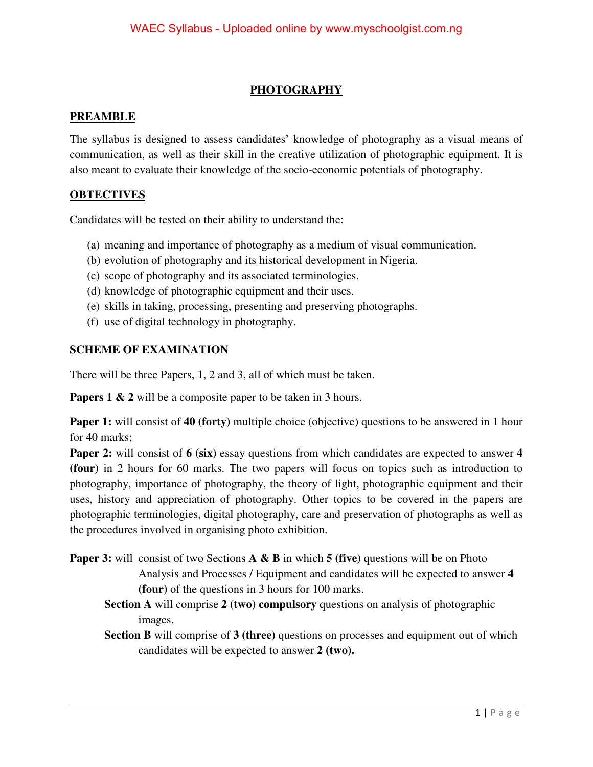### **PHOTOGRAPHY**

#### **PREAMBLE**

The syllabus is designed to assess candidates' knowledge of photography as a visual means of communication, as well as their skill in the creative utilization of photographic equipment. It is also meant to evaluate their knowledge of the socio-economic potentials of photography.

#### **OBTECTIVES**

Candidates will be tested on their ability to understand the:

- (a) meaning and importance of photography as a medium of visual communication.
- (b) evolution of photography and its historical development in Nigeria.
- (c) scope of photography and its associated terminologies.
- (d) knowledge of photographic equipment and their uses.
- (e) skills in taking, processing, presenting and preserving photographs.
- (f) use of digital technology in photography.

#### **SCHEME OF EXAMINATION**

There will be three Papers, 1, 2 and 3, all of which must be taken.

**Papers 1 & 2** will be a composite paper to be taken in 3 hours.

**Paper 1:** will consist of 40 (forty) multiple choice (objective) questions to be answered in 1 hour for 40 marks;

**Paper 2:** will consist of **6** (six) essay questions from which candidates are expected to answer 4 **(four)** in 2 hours for 60 marks. The two papers will focus on topics such as introduction to photography, importance of photography, the theory of light, photographic equipment and their uses, history and appreciation of photography. Other topics to be covered in the papers are photographic terminologies, digital photography, care and preservation of photographs as well as the procedures involved in organising photo exhibition.

- **Paper 3:** will consist of two Sections **A & B** in which **5** (five) questions will be on Photo Analysis and Processes / Equipment and candidates will be expected to answer **4 (four)** of the questions in 3 hours for 100 marks.
	- **Section A** will comprise **2 (two) compulsory** questions on analysis of photographic images.

**Section B** will comprise of **3 (three)** questions on processes and equipment out of which candidates will be expected to answer **2 (two).**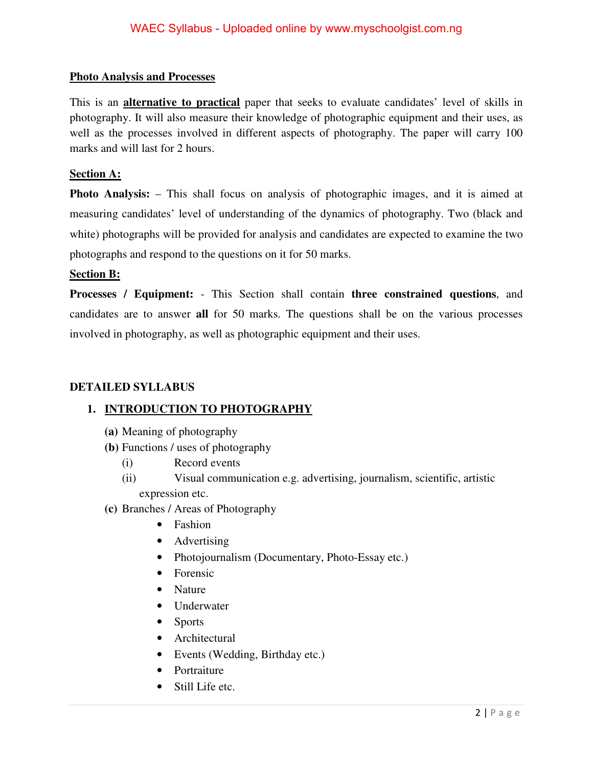#### **Photo Analysis and Processes**

This is an **alternative to practical** paper that seeks to evaluate candidates' level of skills in photography. It will also measure their knowledge of photographic equipment and their uses, as well as the processes involved in different aspects of photography. The paper will carry 100 marks and will last for 2 hours.

#### **Section A:**

**Photo Analysis:** – This shall focus on analysis of photographic images, and it is aimed at measuring candidates' level of understanding of the dynamics of photography. Two (black and white) photographs will be provided for analysis and candidates are expected to examine the two photographs and respond to the questions on it for 50 marks.

#### **Section B:**

**Processes / Equipment:** - This Section shall contain **three constrained questions**, and candidates are to answer **all** for 50 marks. The questions shall be on the various processes involved in photography, as well as photographic equipment and their uses.

#### **DETAILED SYLLABUS**

#### **1. INTRODUCTION TO PHOTOGRAPHY**

- **(a)** Meaning of photography
- **(b)** Functions / uses of photography
	- (i) Record events
	- (ii) Visual communication e.g. advertising, journalism, scientific, artistic expression etc.
- **(c)** Branches / Areas of Photography
	- Fashion
	- Advertising
	- Photojournalism (Documentary, Photo-Essay etc.)
	- Forensic
	- Nature
	- Underwater
	- Sports
	- Architectural
	- Events (Wedding, Birthday etc.)
	- Portraiture
	- Still Life etc.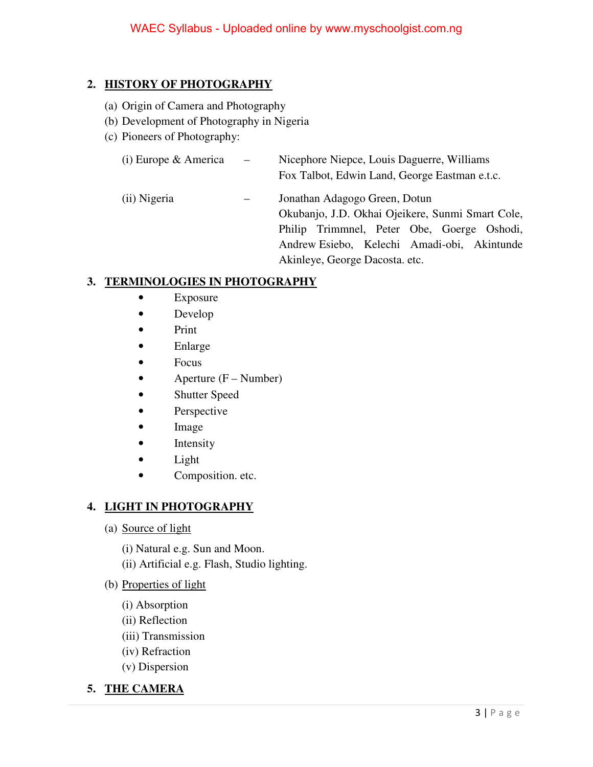# **2. HISTORY OF PHOTOGRAPHY**

- (a) Origin of Camera and Photography
- (b) Development of Photography in Nigeria
- (c) Pioneers of Photography:

| (i) Europe & America | $\sim$ $ \sim$ | Nicephore Niepce, Louis Daguerre, Williams<br>Fox Talbot, Edwin Land, George Eastman e.t.c.                                                                                                                      |
|----------------------|----------------|------------------------------------------------------------------------------------------------------------------------------------------------------------------------------------------------------------------|
| (ii) Nigeria         |                | Jonathan Adagogo Green, Dotun<br>Okubanjo, J.D. Okhai Ojeikere, Sunmi Smart Cole,<br>Philip Trimmnel, Peter Obe, Goerge Oshodi,<br>Andrew Esiebo, Kelechi Amadi-obi, Akintunde<br>Akinleye, George Dacosta. etc. |

# **3. TERMINOLOGIES IN PHOTOGRAPHY**

- Exposure
- Develop
- Print
- Enlarge
- Focus
- Aperture  $(F Number)$
- Shutter Speed
- Perspective
- Image
- Intensity
- Light
- Composition. etc.

## **4. LIGHT IN PHOTOGRAPHY**

- (a) Source of light
	- (i) Natural e.g. Sun and Moon.
	- (ii) Artificial e.g. Flash, Studio lighting.
- (b) Properties of light
	- (i) Absorption
	- (ii) Reflection
	- (iii) Transmission
	- (iv) Refraction
	- (v) Dispersion
- **5. THE CAMERA**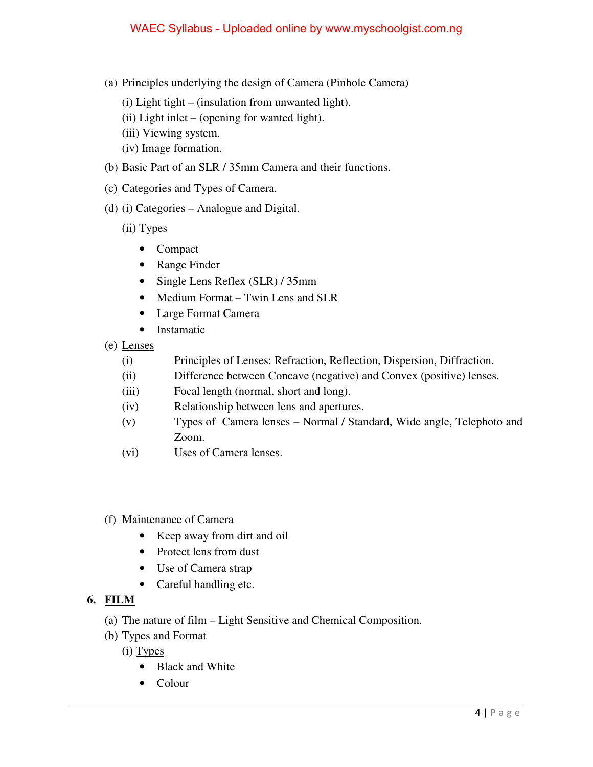- (a) Principles underlying the design of Camera (Pinhole Camera)
	- $(i)$  Light tight (insulation from unwanted light).
	- (ii) Light inlet (opening for wanted light).
	- (iii) Viewing system.
	- (iv) Image formation.
- (b) Basic Part of an SLR / 35mm Camera and their functions.
- (c) Categories and Types of Camera.
- (d) (i) Categories Analogue and Digital.
	- (ii) Types
		- Compact
		- Range Finder
		- Single Lens Reflex (SLR) / 35mm
		- Medium Format Twin Lens and SLR
		- Large Format Camera
		- Instamatic
- (e) Lenses
	- (i) Principles of Lenses: Refraction, Reflection, Dispersion, Diffraction.
	- (ii) Difference between Concave (negative) and Convex (positive) lenses.
	- (iii) Focal length (normal, short and long).
	- (iv) Relationship between lens and apertures.
	- (v) Types of Camera lenses Normal / Standard, Wide angle, Telephoto and Zoom.
	- (vi) Uses of Camera lenses.
- (f) Maintenance of Camera
	- Keep away from dirt and oil
	- Protect lens from dust
	- Use of Camera strap
	- Careful handling etc.

## **6. FILM**

- (a) The nature of film Light Sensitive and Chemical Composition.
- (b) Types and Format
	- (i) Types
		- Black and White
		- Colour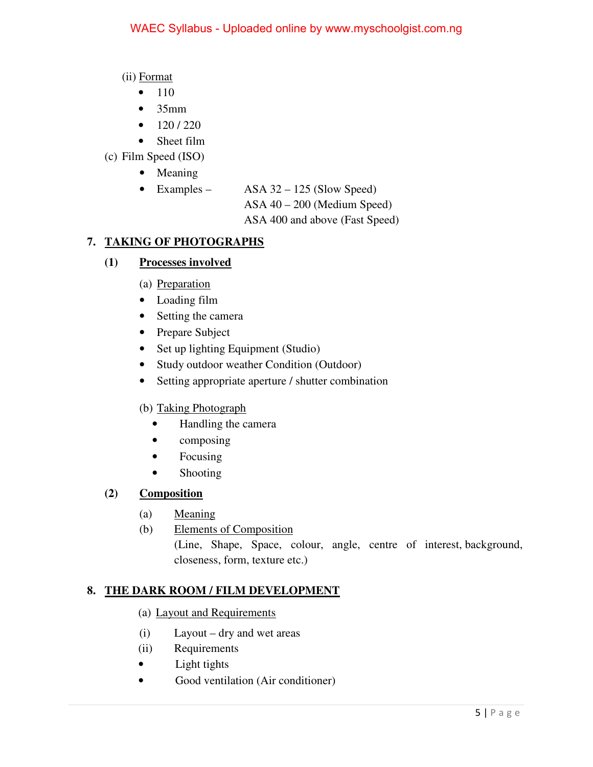(ii) Format

- $\bullet$  110
- $35mm$
- $\bullet$  120/220
- Sheet film
- (c) Film Speed (ISO)
	- Meaning

• Examples – ASA 32 – 125 (Slow Speed) ASA 40 – 200 (Medium Speed) ASA 400 and above (Fast Speed)

# **7. TAKING OF PHOTOGRAPHS**

# **(1) Processes involved**

- (a) Preparation
- Loading film
- Setting the camera
- Prepare Subject
- Set up lighting Equipment (Studio)
- Study outdoor weather Condition (Outdoor)
- Setting appropriate aperture / shutter combination

## (b) Taking Photograph

- Handling the camera
- composing
- Focusing
- Shooting

## **(2) Composition**

- (a) Meaning
- (b) Elements of Composition (Line, Shape, Space, colour, angle, centre of interest, background, closeness, form, texture etc.)

# **8. THE DARK ROOM / FILM DEVELOPMENT**

- (a) Layout and Requirements
- (i) Layout dry and wet areas
- (ii) Requirements
- Light tights
- Good ventilation (Air conditioner)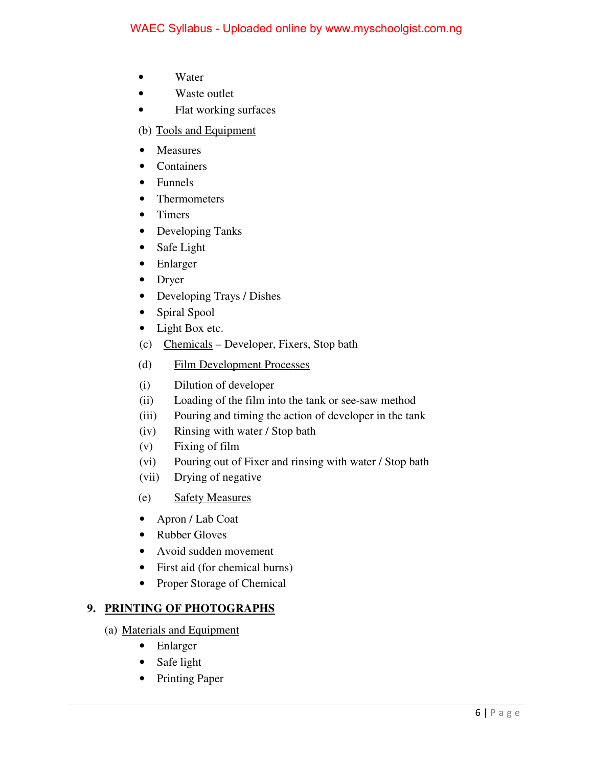- Water
- Waste outlet
- Flat working surfaces

(b) Tools and Equipment

- Measures
- Containers
- Funnels
- Thermometers
- Timers
- Developing Tanks
- Safe Light
- Enlarger
- Dryer
- Developing Trays / Dishes
- Spiral Spool
- Light Box etc.
- (c) Chemicals Developer, Fixers, Stop bath
- (d) Film Development Processes
- (i) Dilution of developer
- (ii) Loading of the film into the tank or see-saw method
- (iii) Pouring and timing the action of developer in the tank
- (iv) Rinsing with water / Stop bath
- (v) Fixing of film
- (vi) Pouring out of Fixer and rinsing with water / Stop bath
- (vii) Drying of negative
- (e) Safety Measures
- Apron / Lab Coat
- Rubber Gloves
- Avoid sudden movement
- First aid (for chemical burns)
- Proper Storage of Chemical

## **9. PRINTING OF PHOTOGRAPHS**

- (a) Materials and Equipment
	- Enlarger
	- Safe light
	- Printing Paper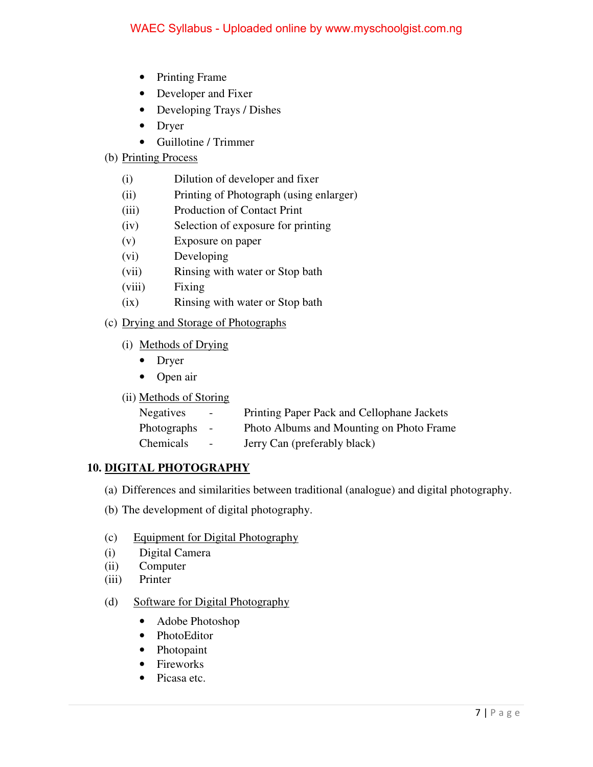- Printing Frame
- Developer and Fixer
- Developing Trays / Dishes
- Dryer
- Guillotine / Trimmer

#### (b) Printing Process

- (i) Dilution of developer and fixer
- (ii) Printing of Photograph (using enlarger)
- (iii) Production of Contact Print
- (iv) Selection of exposure for printing
- (v) Exposure on paper
- (vi) Developing
- (vii) Rinsing with water or Stop bath
- (viii) Fixing
- (ix) Rinsing with water or Stop bath

### (c) Drying and Storage of Photographs

- (i) Methods of Drying
	- Dryer
	- Open air
- (ii) Methods of Storing

| <b>Negatives</b> | $\blacksquare$ | Printing Paper Pack and Cellophane Jackets |
|------------------|----------------|--------------------------------------------|
| Photographs      | $\sim$         | Photo Albums and Mounting on Photo Frame   |
| Chemicals        | $\blacksquare$ | Jerry Can (preferably black)               |

## **10. DIGITAL PHOTOGRAPHY**

- (a) Differences and similarities between traditional (analogue) and digital photography.
- (b) The development of digital photography.
- (c) Equipment for Digital Photography
- (i) Digital Camera
- (ii) Computer
- (iii) Printer

#### (d) Software for Digital Photography

- Adobe Photoshop
- PhotoEditor
- Photopaint
- Fireworks
- Picasa etc.